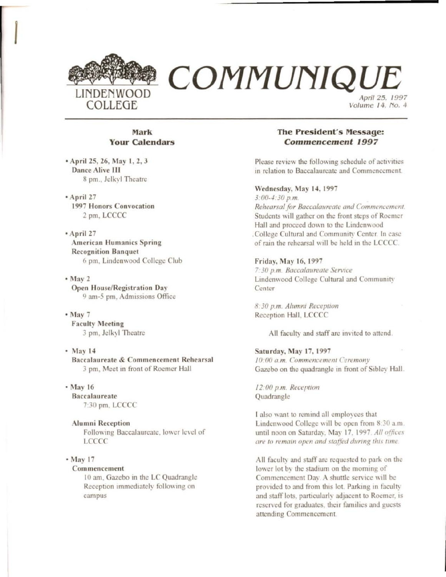

# Mark **Your Calendars**

• April 25, 26, May 1, 2, 3 **Dance Alive III** 8 pm., Jelkyl Theatre

\* April 27 **1997 Honors Convocation** 2 pm, LCCCC

\* April 27 **American Humanics Spring Recognition Banquet** 6 pm, Lindenwood College Club

 $•$  May 2 **Open House/Registration Day** 9 am-5 pm. Admissions Office

 $•$  May 7 **Faculty Meeting** 3 pm, Jelkyl Theatre

 $•$  May 14 Baccalaureate & Commencement Rehearsal 3 pm, Meet in front of Roemer Hall

• May 16 **Baccalaureate** 7:30 pm, LCCCC

**Alumni Reception** Following Baccalaureate, lower level of **LCCCC** 

#### • May 17

#### Commencement

10 am, Gazebo in the LC Quadrangle Reception immediately following on campus

# **The President's Message: Commencement 1997**

Please review the following schedule of activities in relation to Baccalaureate and Commencement.

#### Wednesday, May 14, 1997

 $3:00-4:30 p.m.$ Rehearsal for Baccalaureate and Commencement. Students will gather on the front steps of Roemer Hall and proceed down to the Lindenwood College Cultural and Community Center. In case of rain the rehearsal will be held in the LCCCC.

## Friday, May 16, 1997

7:30 p.m. Baccalaureate Service Lindenwood College Cultural and Community Center

8:30 p.m. Alumni Reception Reception Hall, LCCCC

All faculty and staff are invited to attend.

### Saturday, May 17, 1997

10:00 a.m. Commencement Ceremony Gazebo on the quadrangle in front of Sibley Hall.

12:00 p.m. Reception Quadrangle

I also want to remind all employees that Lindenwood College will be open from 8:30 a.m. until noon on Saturday. May 17, 1997. All offices are to remain open and staffed during this time.

All faculty and staff are requested to park on the lower lot by the stadium on the morning of Commencement Day. A shuttle service will be provided to and from this lot. Parking in faculty and staff lots, particularly adjacent to Roemer, is reserved for graduates, their families and guests attending Commencement.